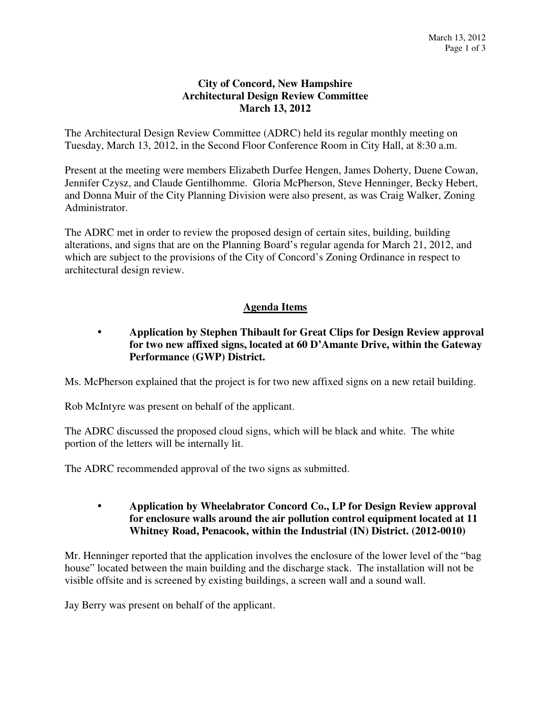## **City of Concord, New Hampshire Architectural Design Review Committee March 13, 2012**

The Architectural Design Review Committee (ADRC) held its regular monthly meeting on Tuesday, March 13, 2012, in the Second Floor Conference Room in City Hall, at 8:30 a.m.

Present at the meeting were members Elizabeth Durfee Hengen, James Doherty, Duene Cowan, Jennifer Czysz, and Claude Gentilhomme. Gloria McPherson, Steve Henninger, Becky Hebert, and Donna Muir of the City Planning Division were also present, as was Craig Walker, Zoning Administrator.

The ADRC met in order to review the proposed design of certain sites, building, building alterations, and signs that are on the Planning Board's regular agenda for March 21, 2012, and which are subject to the provisions of the City of Concord's Zoning Ordinance in respect to architectural design review.

## **Agenda Items**

## **Application by Stephen Thibault for Great Clips for Design Review approval for two new affixed signs, located at 60 D'Amante Drive, within the Gateway Performance (GWP) District.**

Ms. McPherson explained that the project is for two new affixed signs on a new retail building.

Rob McIntyre was present on behalf of the applicant.

The ADRC discussed the proposed cloud signs, which will be black and white. The white portion of the letters will be internally lit.

The ADRC recommended approval of the two signs as submitted.

## **Application by Wheelabrator Concord Co., LP for Design Review approval for enclosure walls around the air pollution control equipment located at 11 Whitney Road, Penacook, within the Industrial (IN) District. (2012-0010)**

Mr. Henninger reported that the application involves the enclosure of the lower level of the "bag house" located between the main building and the discharge stack. The installation will not be visible offsite and is screened by existing buildings, a screen wall and a sound wall.

Jay Berry was present on behalf of the applicant.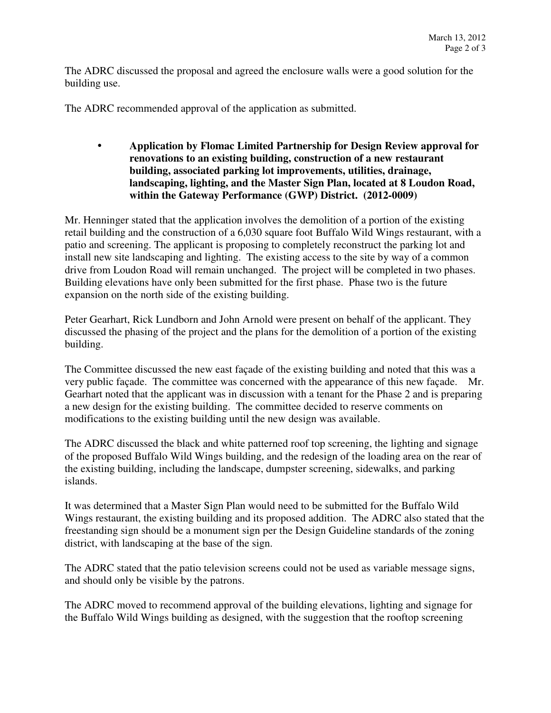The ADRC discussed the proposal and agreed the enclosure walls were a good solution for the building use.

The ADRC recommended approval of the application as submitted.

 **Application by Flomac Limited Partnership for Design Review approval for renovations to an existing building, construction of a new restaurant building, associated parking lot improvements, utilities, drainage, landscaping, lighting, and the Master Sign Plan, located at 8 Loudon Road, within the Gateway Performance (GWP) District. (2012-0009)** 

Mr. Henninger stated that the application involves the demolition of a portion of the existing retail building and the construction of a 6,030 square foot Buffalo Wild Wings restaurant, with a patio and screening. The applicant is proposing to completely reconstruct the parking lot and install new site landscaping and lighting. The existing access to the site by way of a common drive from Loudon Road will remain unchanged. The project will be completed in two phases. Building elevations have only been submitted for the first phase. Phase two is the future expansion on the north side of the existing building.

Peter Gearhart, Rick Lundborn and John Arnold were present on behalf of the applicant. They discussed the phasing of the project and the plans for the demolition of a portion of the existing building.

The Committee discussed the new east façade of the existing building and noted that this was a very public façade. The committee was concerned with the appearance of this new façade. Mr. Gearhart noted that the applicant was in discussion with a tenant for the Phase 2 and is preparing a new design for the existing building. The committee decided to reserve comments on modifications to the existing building until the new design was available.

The ADRC discussed the black and white patterned roof top screening, the lighting and signage of the proposed Buffalo Wild Wings building, and the redesign of the loading area on the rear of the existing building, including the landscape, dumpster screening, sidewalks, and parking islands.

It was determined that a Master Sign Plan would need to be submitted for the Buffalo Wild Wings restaurant, the existing building and its proposed addition. The ADRC also stated that the freestanding sign should be a monument sign per the Design Guideline standards of the zoning district, with landscaping at the base of the sign.

The ADRC stated that the patio television screens could not be used as variable message signs, and should only be visible by the patrons.

The ADRC moved to recommend approval of the building elevations, lighting and signage for the Buffalo Wild Wings building as designed, with the suggestion that the rooftop screening